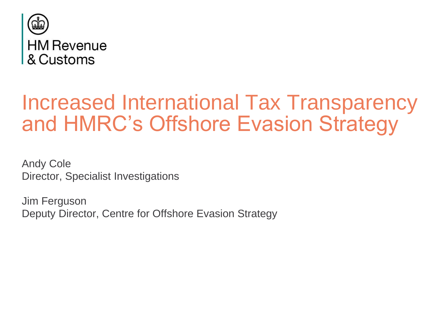

# Increased International Tax Transparency and HMRC's Offshore Evasion Strategy

Andy Cole Director, Specialist Investigations

Jim Ferguson Deputy Director, Centre for Offshore Evasion Strategy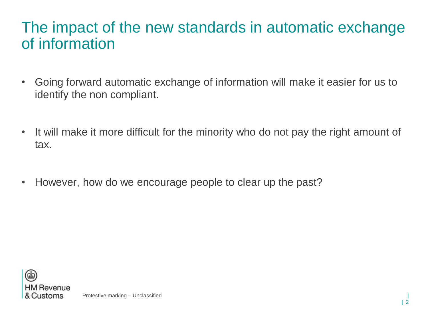#### The impact of the new standards in automatic exchange of information

- Going forward automatic exchange of information will make it easier for us to identify the non compliant.
- It will make it more difficult for the minority who do not pay the right amount of tax.
- However, how do we encourage people to clear up the past?

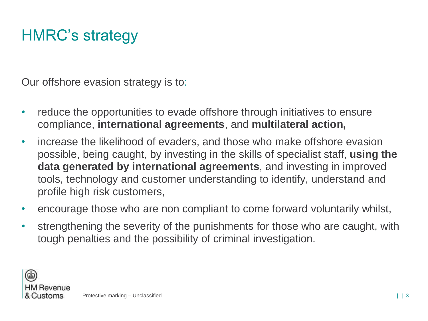## HMRC's strategy

Our offshore evasion strategy is to:

- reduce the opportunities to evade offshore through initiatives to ensure compliance, **international agreements**, and **multilateral action,**
- increase the likelihood of evaders, and those who make offshore evasion possible, being caught, by investing in the skills of specialist staff, **using the data generated by international agreements**, and investing in improved tools, technology and customer understanding to identify, understand and profile high risk customers,
- encourage those who are non compliant to come forward voluntarily whilst,
- strengthening the severity of the punishments for those who are caught, with tough penalties and the possibility of criminal investigation.

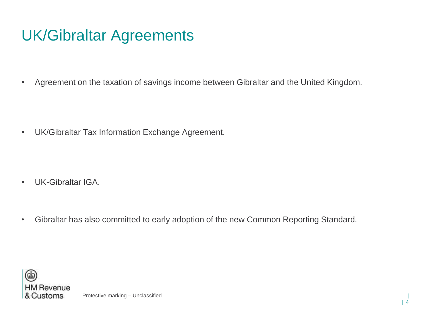## UK/Gibraltar Agreements

• Agreement on the taxation of savings income between Gibraltar and the United Kingdom.

• UK/Gibraltar Tax Information Exchange Agreement.

- UK-Gibraltar IGA.
- Gibraltar has also committed to early adoption of the new Common Reporting Standard.

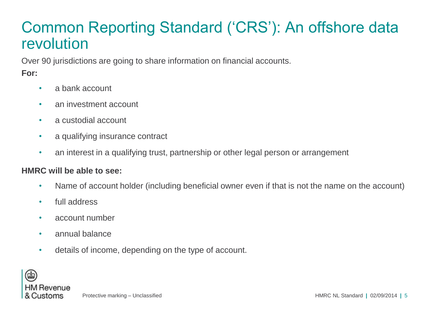#### Common Reporting Standard ('CRS'): An offshore data revolution

Over 90 jurisdictions are going to share information on financial accounts.

#### **For:**

- a bank account
- an investment account
- a custodial account
- a qualifying insurance contract
- an interest in a qualifying trust, partnership or other legal person or arrangement

#### **HMRC will be able to see:**

- Name of account holder (including beneficial owner even if that is not the name on the account)
- full address
- account number
- annual balance
- details of income, depending on the type of account.

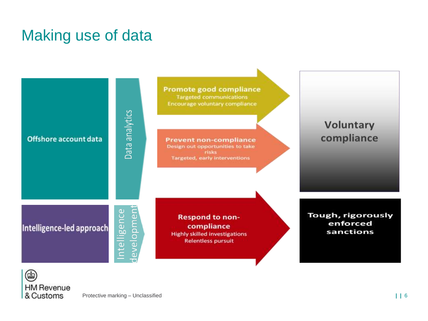### Making use of data



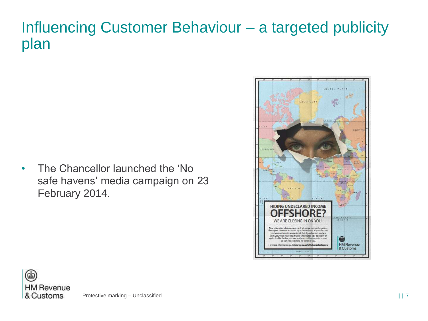#### Influencing Customer Behaviour – a targeted publicity plan

• The Chancellor launched the 'No safe havens' media campaign on 23 February 2014.



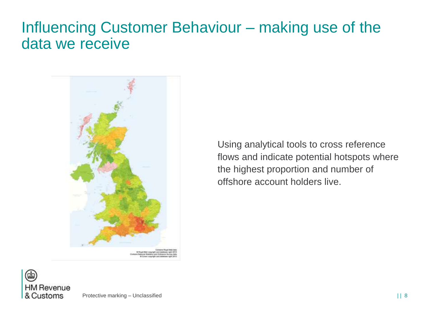#### Influencing Customer Behaviour – making use of the data we receive



Using analytical tools to cross reference flows and indicate potential hotspots where the highest proportion and number of offshore account holders live.

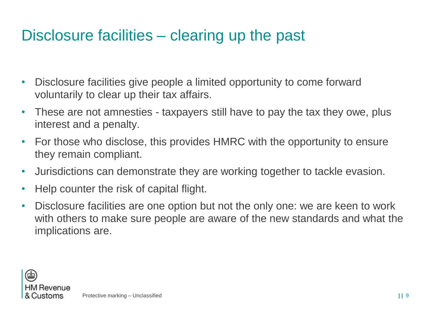### Disclosure facilities – clearing up the past

- Disclosure facilities give people a limited opportunity to come forward voluntarily to clear up their tax affairs.
- These are not amnesties taxpayers still have to pay the tax they owe, plus interest and a penalty.
- For those who disclose, this provides HMRC with the opportunity to ensure they remain compliant.
- Jurisdictions can demonstrate they are working together to tackle evasion.
- Help counter the risk of capital flight.
- Disclosure facilities are one option but not the only one: we are keen to work with others to make sure people are aware of the new standards and what the implications are.

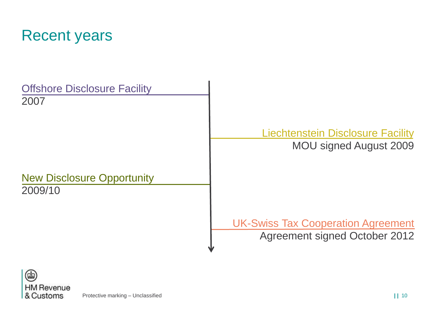

| <b>Offshore Disclosure Facility</b><br>2007  |                                                                            |
|----------------------------------------------|----------------------------------------------------------------------------|
|                                              | <b>Liechtenstein Disclosure Facility</b><br><b>MOU signed August 2009</b>  |
| <b>New Disclosure Opportunity</b><br>2009/10 |                                                                            |
|                                              | <b>UK-Swiss Tax Cooperation Agreement</b><br>Agreement signed October 2012 |

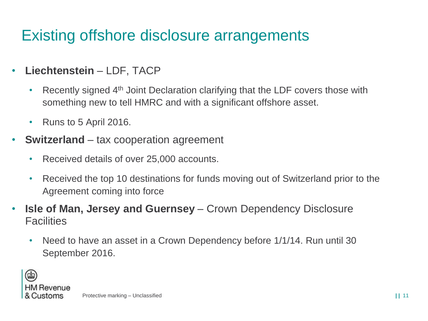## Existing offshore disclosure arrangements

- **Liechtenstein** LDF, TACP
	- Recently signed 4<sup>th</sup> Joint Declaration clarifying that the LDF covers those with something new to tell HMRC and with a significant offshore asset.
	- Runs to 5 April 2016.
- **Switzerland** tax cooperation agreement
	- Received details of over 25,000 accounts.
	- Received the top 10 destinations for funds moving out of Switzerland prior to the Agreement coming into force
- **Isle of Man, Jersey and Guernsey**  Crown Dependency Disclosure **Facilities** 
	- Need to have an asset in a Crown Dependency before 1/1/14. Run until 30 September 2016.

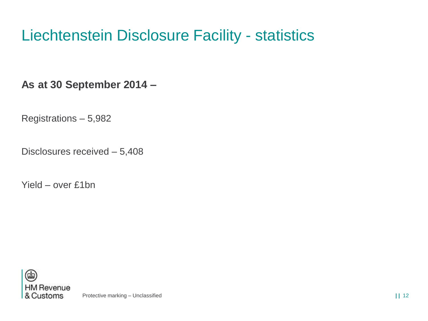## Liechtenstein Disclosure Facility - statistics

**As at 30 September 2014 –**

Registrations – 5,982

Disclosures received – 5,408

Yield – over £1bn

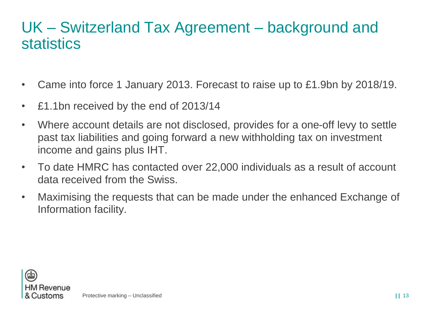#### UK – Switzerland Tax Agreement – background and statistics

- Came into force 1 January 2013. Forecast to raise up to £1.9bn by 2018/19.
- £1.1bn received by the end of 2013/14
- Where account details are not disclosed, provides for a one-off levy to settle past tax liabilities and going forward a new withholding tax on investment income and gains plus IHT.
- To date HMRC has contacted over 22,000 individuals as a result of account data received from the Swiss.
- Maximising the requests that can be made under the enhanced Exchange of Information facility.

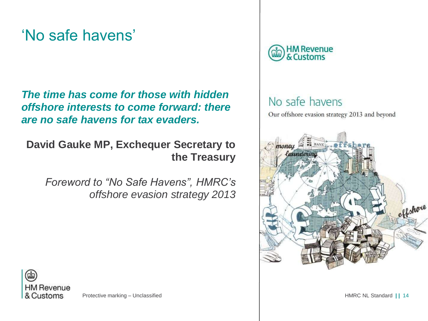#### 'No safe havens'

*The time has come for those with hidden offshore interests to come forward: there are no safe havens for tax evaders.*

**David Gauke MP, Exchequer Secretary to the Treasury**

*Foreword to "No Safe Havens", HMRC's offshore evasion strategy 2013*



#### No safe havens

Our offshore evasion strategy 2013 and beyond



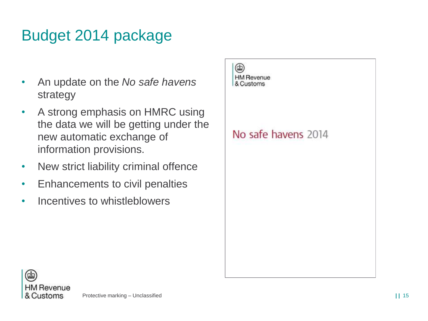## Budget 2014 package

- An update on the *No safe havens* strategy
- A strong emphasis on HMRC using the data we will be getting under the new automatic exchange of information provisions.
- New strict liability criminal offence
- Enhancements to civil penalties
- Incentives to whistleblowers



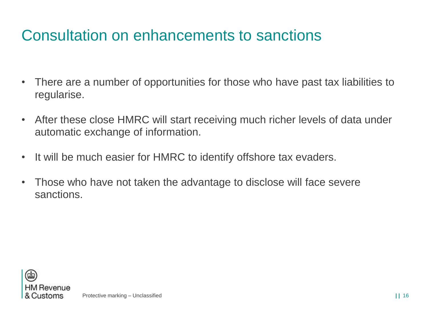#### Consultation on enhancements to sanctions

- There are a number of opportunities for those who have past tax liabilities to regularise.
- After these close HMRC will start receiving much richer levels of data under automatic exchange of information.
- It will be much easier for HMRC to identify offshore tax evaders.
- Those who have not taken the advantage to disclose will face severe sanctions.

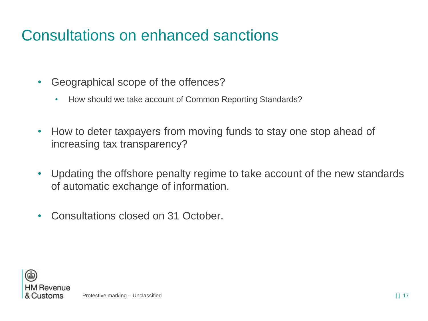### Consultations on enhanced sanctions

- Geographical scope of the offences?
	- How should we take account of Common Reporting Standards?
- How to deter taxpayers from moving funds to stay one stop ahead of increasing tax transparency?
- Updating the offshore penalty regime to take account of the new standards of automatic exchange of information.
- Consultations closed on 31 October.

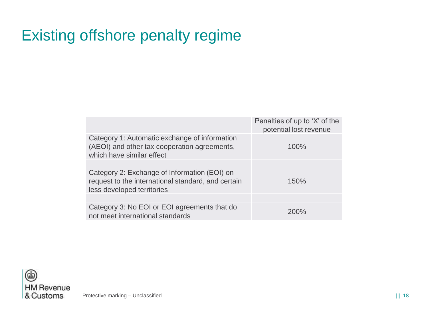## Existing offshore penalty regime

|                                                                                                                                  | Penalties of up to 'X' of the<br>potential lost revenue |
|----------------------------------------------------------------------------------------------------------------------------------|---------------------------------------------------------|
| Category 1: Automatic exchange of information<br>(AEOI) and other tax cooperation agreements,<br>which have similar effect       | 100%                                                    |
|                                                                                                                                  |                                                         |
| Category 2: Exchange of Information (EOI) on<br>request to the international standard, and certain<br>less developed territories | 150%                                                    |
|                                                                                                                                  |                                                         |
| Category 3: No EOI or EOI agreements that do<br>not meet international standards                                                 | 200%                                                    |

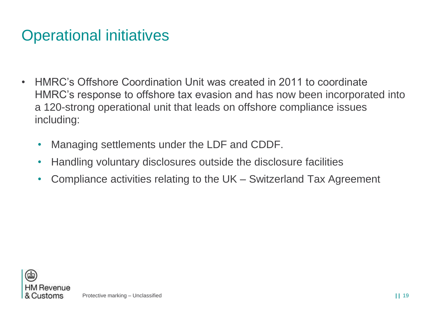### Operational initiatives

- HMRC's Offshore Coordination Unit was created in 2011 to coordinate HMRC's response to offshore tax evasion and has now been incorporated into a 120-strong operational unit that leads on offshore compliance issues including:
	- Managing settlements under the LDF and CDDF.
	- Handling voluntary disclosures outside the disclosure facilities
	- Compliance activities relating to the UK Switzerland Tax Agreement

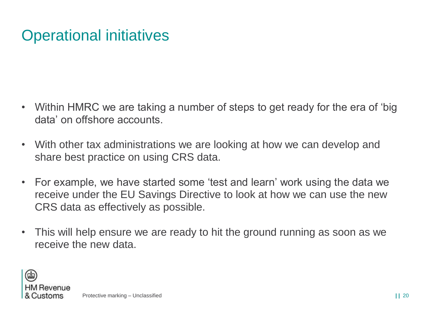## Operational initiatives

- Within HMRC we are taking a number of steps to get ready for the era of 'big data' on offshore accounts.
- With other tax administrations we are looking at how we can develop and share best practice on using CRS data.
- For example, we have started some 'test and learn' work using the data we receive under the EU Savings Directive to look at how we can use the new CRS data as effectively as possible.
- This will help ensure we are ready to hit the ground running as soon as we receive the new data.

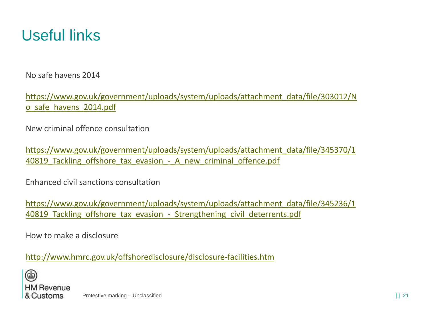

No safe havens 2014

[https://www.gov.uk/government/uploads/system/uploads/attachment\\_data/file/303012/N](https://www.gov.uk/government/uploads/system/uploads/attachment_data/file/303012/No_safe_havens_2014.pdf) o\_safe\_havens\_2014.pdf

New criminal offence consultation

[https://www.gov.uk/government/uploads/system/uploads/attachment\\_data/file/345370/1](https://www.gov.uk/government/uploads/system/uploads/attachment_data/file/345370/140819_Tackling_offshore_tax_evasion_-_A_new_criminal_offence.pdf) 40819 Tackling offshore tax evasion - A new criminal offence.pdf

Enhanced civil sanctions consultation

[https://www.gov.uk/government/uploads/system/uploads/attachment\\_data/file/345236/1](https://www.gov.uk/government/uploads/system/uploads/attachment_data/file/345236/140819_Tackling_offshore_tax_evasion_-_Strengthening_civil_deterrents.pdf) 40819 Tackling offshore tax evasion - Strengthening civil deterrents.pdf

How to make a disclosure

<http://www.hmrc.gov.uk/offshoredisclosure/disclosure-facilities.htm>